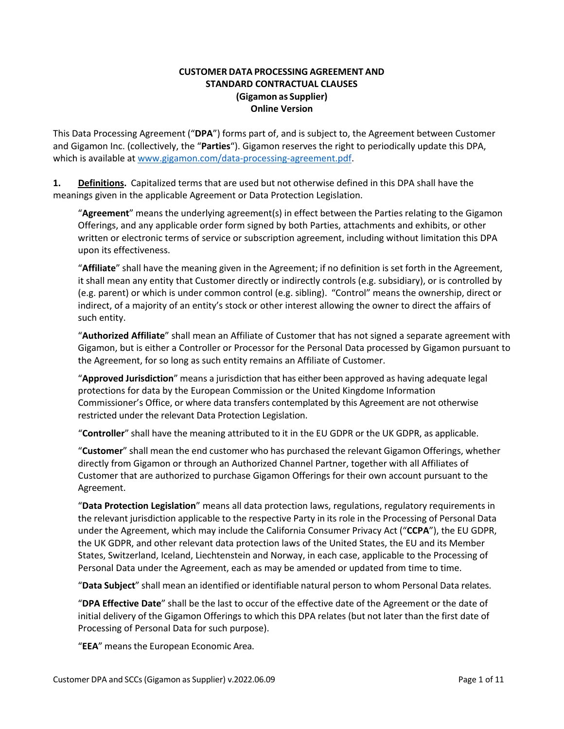#### **CUSTOMER DATA PROCESSING AGREEMENT AND STANDARD CONTRACTUAL CLAUSES (Gigamon as Supplier) Online Version**

This Data Processing Agreement ("**DPA**") forms part of, and is subject to, the Agreement between Customer and Gigamon Inc. (collectively, the "**Parties**"). Gigamon reserves the right to periodically update this DPA, which is available at www.gigamon.com/data-processing-agreement.pdf.

**1. Definitions.** Capitalized terms that are used but not otherwise defined in this DPA shall have the meanings given in the applicable Agreement or Data Protection Legislation.

"**Agreement**" means the underlying agreement(s) in effect between the Parties relating to the Gigamon Offerings, and any applicable order form signed by both Parties, attachments and exhibits, or other written or electronic terms of service or subscription agreement, including without limitation this DPA upon its effectiveness.

"**Affiliate**" shall have the meaning given in the Agreement; if no definition is set forth in the Agreement, it shall mean any entity that Customer directly or indirectly controls (e.g. subsidiary), or is controlled by (e.g. parent) or which is under common control (e.g. sibling). "Control" means the ownership, direct or indirect, of a majority of an entity's stock or other interest allowing the owner to direct the affairs of such entity.

"**Authorized Affiliate**" shall mean an Affiliate of Customer that has not signed a separate agreement with Gigamon, but is either a Controller or Processor for the Personal Data processed by Gigamon pursuant to the Agreement, for so long as such entity remains an Affiliate of Customer.

"**Approved Jurisdiction**" means a jurisdiction that has either been approved as having adequate legal protections for data by the European Commission or the United Kingdome Information Commissioner's Office, or where data transfers contemplated by this Agreement are not otherwise restricted under the relevant Data Protection Legislation.

"**Controller**" shall have the meaning attributed to it in the EU GDPR or the UK GDPR, as applicable.

"**Customer**" shall mean the end customer who has purchased the relevant Gigamon Offerings, whether directly from Gigamon or through an Authorized Channel Partner, together with all Affiliates of Customer that are authorized to purchase Gigamon Offerings for their own account pursuant to the Agreement.

"**Data Protection Legislation**" means all data protection laws, regulations, regulatory requirements in the relevant jurisdiction applicable to the respective Party in its role in the Processing of Personal Data under the Agreement, which may include the California Consumer Privacy Act ("**CCPA**"), the EU GDPR, the UK GDPR, and other relevant data protection laws of the United States, the EU and its Member States, Switzerland, Iceland, Liechtenstein and Norway, in each case, applicable to the Processing of Personal Data under the Agreement, each as may be amended or updated from time to time.

"**Data Subject**" shall mean an identified or identifiable natural person to whom Personal Data relates.

"**DPA Effective Date**" shall be the last to occur of the effective date of the Agreement or the date of initial delivery of the Gigamon Offerings to which this DPA relates (but not later than the first date of Processing of Personal Data for such purpose).

"**EEA**" means the European Economic Area.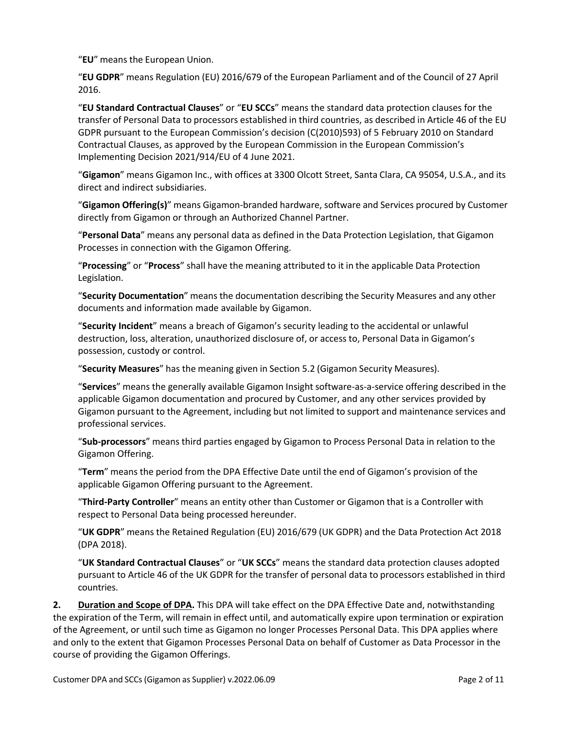"**EU**" means the European Union.

"**EU GDPR**" means Regulation (EU) 2016/679 of the European Parliament and of the Council of 27 April 2016.

"**EU Standard Contractual Clauses**" or "**EU SCCs**" means the standard data protection clauses for the transfer of Personal Data to processors established in third countries, as described in Article 46 of the EU GDPR pursuant to the European Commission's decision (C(2010)593) of 5 February 2010 on Standard Contractual Clauses, as approved by the European Commission in the European Commission's Implementing Decision 2021/914/EU of 4 June 2021.

"**Gigamon**" means Gigamon Inc., with offices at 3300 Olcott Street, Santa Clara, CA 95054, U.S.A., and its direct and indirect subsidiaries.

"**Gigamon Offering(s)**" means Gigamon-branded hardware, software and Services procured by Customer directly from Gigamon or through an Authorized Channel Partner.

"**Personal Data**" means any personal data as defined in the Data Protection Legislation, that Gigamon Processes in connection with the Gigamon Offering.

"**Processing**" or "**Process**" shall have the meaning attributed to it in the applicable Data Protection Legislation.

"**Security Documentation**" means the documentation describing the Security Measures and any other documents and information made available by Gigamon.

"**Security Incident**" means a breach of Gigamon's security leading to the accidental or unlawful destruction, loss, alteration, unauthorized disclosure of, or access to, Personal Data in Gigamon's possession, custody or control.

"**Security Measures**" has the meaning given in Section 5.2 (Gigamon Security Measures).

"**Services**" means the generally available Gigamon Insight software-as-a-service offering described in the applicable Gigamon documentation and procured by Customer, and any other services provided by Gigamon pursuant to the Agreement, including but not limited to support and maintenance services and professional services.

"**Sub-processors**" means third parties engaged by Gigamon to Process Personal Data in relation to the Gigamon Offering.

"**Term**" means the period from the DPA Effective Date until the end of Gigamon's provision of the applicable Gigamon Offering pursuant to the Agreement.

"**Third-Party Controller**" means an entity other than Customer or Gigamon that is a Controller with respect to Personal Data being processed hereunder.

"**UK GDPR**" means the Retained Regulation (EU) 2016/679 (UK GDPR) and the Data Protection Act 2018 (DPA 2018).

"**UK Standard Contractual Clauses**" or "**UK SCCs**" means the standard data protection clauses adopted pursuant to Article 46 of the UK GDPR for the transfer of personal data to processors established in third countries.

**2. Duration and Scope of DPA.** This DPA will take effect on the DPA Effective Date and, notwithstanding the expiration of the Term, will remain in effect until, and automatically expire upon termination or expiration of the Agreement, or until such time as Gigamon no longer Processes Personal Data. This DPA applies where and only to the extent that Gigamon Processes Personal Data on behalf of Customer as Data Processor in the course of providing the Gigamon Offerings.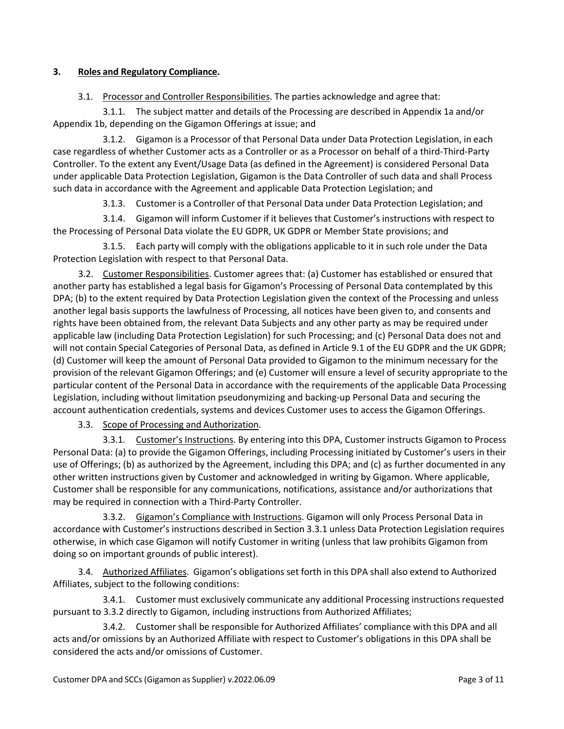#### **3. Roles and Regulatory Compliance.**

### 3.1. Processor and Controller Responsibilities. The parties acknowledge and agree that:

3.1.1. The subject matter and details of the Processing are described in Appendix 1a and/or Appendix 1b, depending on the Gigamon Offerings at issue; and

3.1.2. Gigamon is a Processor of that Personal Data under Data Protection Legislation, in each case regardless of whether Customer acts as a Controller or as a Processor on behalf of a third-Third-Party Controller. To the extent any Event/Usage Data (as defined in the Agreement) is considered Personal Data under applicable Data Protection Legislation, Gigamon is the Data Controller of such data and shall Process such data in accordance with the Agreement and applicable Data Protection Legislation; and

3.1.3. Customer is a Controller of that Personal Data under Data Protection Legislation; and

3.1.4. Gigamon will inform Customer if it believes that Customer's instructions with respect to the Processing of Personal Data violate the EU GDPR, UK GDPR or Member State provisions; and

3.1.5. Each party will comply with the obligations applicable to it in such role under the Data Protection Legislation with respect to that Personal Data.

3.2. Customer Responsibilities. Customer agrees that: (a) Customer has established or ensured that another party has established a legal basis for Gigamon's Processing of Personal Data contemplated by this DPA; (b) to the extent required by Data Protection Legislation given the context of the Processing and unless another legal basis supports the lawfulness of Processing, all notices have been given to, and consents and rights have been obtained from, the relevant Data Subjects and any other party as may be required under applicable law (including Data Protection Legislation) for such Processing; and (c) Personal Data does not and will not contain Special Categories of Personal Data, as defined in Article 9.1 of the EU GDPR and the UK GDPR; (d) Customer will keep the amount of Personal Data provided to Gigamon to the minimum necessary for the provision of the relevant Gigamon Offerings; and (e) Customer will ensure a level of security appropriate to the particular content of the Personal Data in accordance with the requirements of the applicable Data Processing Legislation, including without limitation pseudonymizing and backing-up Personal Data and securing the account authentication credentials, systems and devices Customer uses to access the Gigamon Offerings.

3.3. Scope of Processing and Authorization.

3.3.1. Customer's Instructions. By entering into this DPA, Customer instructs Gigamon to Process Personal Data: (a) to provide the Gigamon Offerings, including Processing initiated by Customer's users in their use of Offerings; (b) as authorized by the Agreement, including this DPA; and (c) as further documented in any other written instructions given by Customer and acknowledged in writing by Gigamon. Where applicable, Customer shall be responsible for any communications, notifications, assistance and/or authorizations that may be required in connection with a Third-Party Controller.

3.3.2. Gigamon's Compliance with Instructions. Gigamon will only Process Personal Data in accordance with Customer's instructions described in Section 3.3.1 unless Data Protection Legislation requires otherwise, in which case Gigamon will notify Customer in writing (unless that law prohibits Gigamon from doing so on important grounds of public interest).

3.4. Authorized Affiliates. Gigamon's obligations set forth in this DPA shall also extend to Authorized Affiliates, subject to the following conditions:

3.4.1. Customer must exclusively communicate any additional Processing instructionsrequested pursuant to 3.3.2 directly to Gigamon, including instructions from Authorized Affiliates;

3.4.2. Customer shall be responsible for Authorized Affiliates' compliance with this DPA and all acts and/or omissions by an Authorized Affiliate with respect to Customer's obligations in this DPA shall be considered the acts and/or omissions of Customer.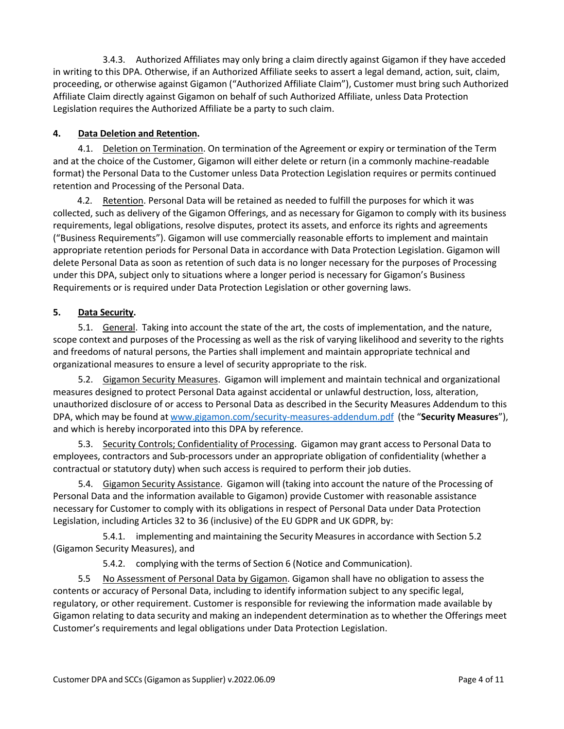3.4.3. Authorized Affiliates may only bring a claim directly against Gigamon if they have acceded in writing to this DPA. Otherwise, if an Authorized Affiliate seeks to assert a legal demand, action, suit, claim, proceeding, or otherwise against Gigamon ("Authorized Affiliate Claim"), Customer must bring such Authorized Affiliate Claim directly against Gigamon on behalf of such Authorized Affiliate, unless Data Protection Legislation requires the Authorized Affiliate be a party to such claim.

## **4. Data Deletion and Retention.**

4.1. Deletion on Termination. On termination of the Agreement or expiry or termination of the Term and at the choice of the Customer, Gigamon will either delete or return (in a commonly machine-readable format) the Personal Data to the Customer unless Data Protection Legislation requires or permits continued retention and Processing of the Personal Data.

4.2. Retention. Personal Data will be retained as needed to fulfill the purposes for which it was collected, such as delivery of the Gigamon Offerings, and as necessary for Gigamon to comply with its business requirements, legal obligations, resolve disputes, protect its assets, and enforce its rights and agreements ("Business Requirements"). Gigamon will use commercially reasonable efforts to implement and maintain appropriate retention periods for Personal Data in accordance with Data Protection Legislation. Gigamon will delete Personal Data as soon as retention of such data is no longer necessary for the purposes of Processing under this DPA, subject only to situations where a longer period is necessary for Gigamon's Business Requirements or is required under Data Protection Legislation or other governing laws.

### **5. Data Security.**

5.1. General. Taking into account the state of the art, the costs of implementation, and the nature, scope context and purposes of the Processing as well as the risk of varying likelihood and severity to the rights and freedoms of natural persons, the Parties shall implement and maintain appropriate technical and organizational measures to ensure a level of security appropriate to the risk.

5.2. Gigamon Security Measures. Gigamon will implement and maintain technical and organizational measures designed to protect Personal Data against accidental or unlawful destruction, loss, alteration, unauthorized disclosure of or access to Personal Data as described in the Security Measures Addendum to this DPA, which may be found at www.gigamon.com/security-measures-addendum.pdf (the "**Security Measures**"), and which is hereby incorporated into this DPA by reference.

5.3. Security Controls; Confidentiality of Processing. Gigamon may grant access to Personal Data to employees, contractors and Sub-processors under an appropriate obligation of confidentiality (whether a contractual or statutory duty) when such access is required to perform their job duties.

5.4. Gigamon Security Assistance. Gigamon will (taking into account the nature of the Processing of Personal Data and the information available to Gigamon) provide Customer with reasonable assistance necessary for Customer to comply with its obligations in respect of Personal Data under Data Protection Legislation, including Articles 32 to 36 (inclusive) of the EU GDPR and UK GDPR, by:

5.4.1. implementing and maintaining the Security Measures in accordance with Section 5.2 (Gigamon Security Measures), and

5.4.2. complying with the terms of Section 6 (Notice and Communication).

5.5 No Assessment of Personal Data by Gigamon. Gigamon shall have no obligation to assess the contents or accuracy of Personal Data, including to identify information subject to any specific legal, regulatory, or other requirement. Customer is responsible for reviewing the information made available by Gigamon relating to data security and making an independent determination as to whether the Offerings meet Customer's requirements and legal obligations under Data Protection Legislation.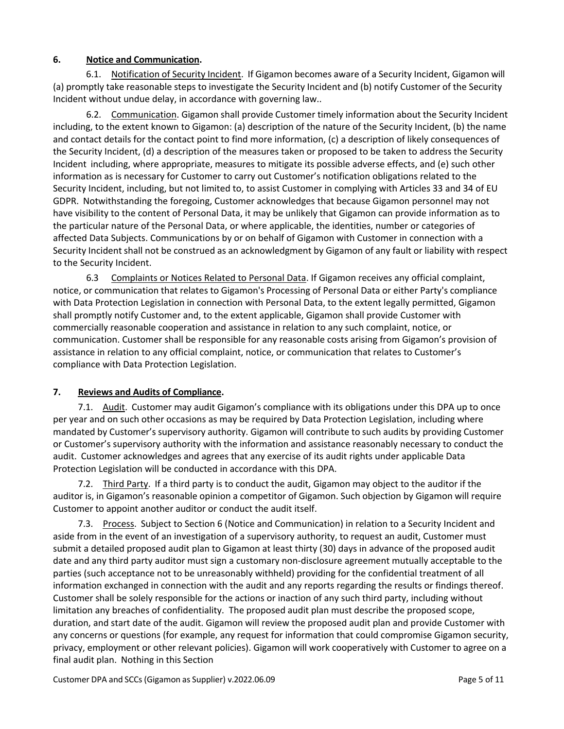### **6. Notice and Communication.**

6.1. Notification of Security Incident. If Gigamon becomes aware of a Security Incident, Gigamon will (a) promptly take reasonable steps to investigate the Security Incident and (b) notify Customer of the Security Incident without undue delay, in accordance with governing law..

6.2. Communication. Gigamon shall provide Customer timely information about the Security Incident including, to the extent known to Gigamon: (a) description of the nature of the Security Incident, (b) the name and contact details for the contact point to find more information, (c) a description of likely consequences of the Security Incident, (d) a description of the measures taken or proposed to be taken to address the Security Incident including, where appropriate, measures to mitigate its possible adverse effects, and (e) such other information as is necessary for Customer to carry out Customer's notification obligations related to the Security Incident, including, but not limited to, to assist Customer in complying with Articles 33 and 34 of EU GDPR. Notwithstanding the foregoing, Customer acknowledges that because Gigamon personnel may not have visibility to the content of Personal Data, it may be unlikely that Gigamon can provide information as to the particular nature of the Personal Data, or where applicable, the identities, number or categories of affected Data Subjects. Communications by or on behalf of Gigamon with Customer in connection with a Security Incident shall not be construed as an acknowledgment by Gigamon of any fault or liability with respect to the Security Incident.

6.3 Complaints or Notices Related to Personal Data. If Gigamon receives any official complaint, notice, or communication that relates to Gigamon's Processing of Personal Data or either Party's compliance with Data Protection Legislation in connection with Personal Data, to the extent legally permitted, Gigamon shall promptly notify Customer and, to the extent applicable, Gigamon shall provide Customer with commercially reasonable cooperation and assistance in relation to any such complaint, notice, or communication. Customer shall be responsible for any reasonable costs arising from Gigamon's provision of assistance in relation to any official complaint, notice, or communication that relates to Customer's compliance with Data Protection Legislation.

## **7. Reviews and Audits of Compliance.**

7.1. Audit. Customer may audit Gigamon's compliance with its obligations under this DPA up to once per year and on such other occasions as may be required by Data Protection Legislation, including where mandated by Customer's supervisory authority. Gigamon will contribute to such audits by providing Customer or Customer's supervisory authority with the information and assistance reasonably necessary to conduct the audit. Customer acknowledges and agrees that any exercise of its audit rights under applicable Data Protection Legislation will be conducted in accordance with this DPA.

7.2. Third Party. If a third party is to conduct the audit, Gigamon may object to the auditor if the auditor is, in Gigamon's reasonable opinion a competitor of Gigamon. Such objection by Gigamon will require Customer to appoint another auditor or conduct the audit itself.

7.3. Process. Subject to Section 6 (Notice and Communication) in relation to a Security Incident and aside from in the event of an investigation of a supervisory authority, to request an audit, Customer must submit a detailed proposed audit plan to Gigamon at least thirty (30) days in advance of the proposed audit date and any third party auditor must sign a customary non-disclosure agreement mutually acceptable to the parties (such acceptance not to be unreasonably withheld) providing for the confidential treatment of all information exchanged in connection with the audit and any reports regarding the results or findings thereof. Customer shall be solely responsible for the actions or inaction of any such third party, including without limitation any breaches of confidentiality. The proposed audit plan must describe the proposed scope, duration, and start date of the audit. Gigamon will review the proposed audit plan and provide Customer with any concerns or questions (for example, any request for information that could compromise Gigamon security, privacy, employment or other relevant policies). Gigamon will work cooperatively with Customer to agree on a final audit plan. Nothing in this Section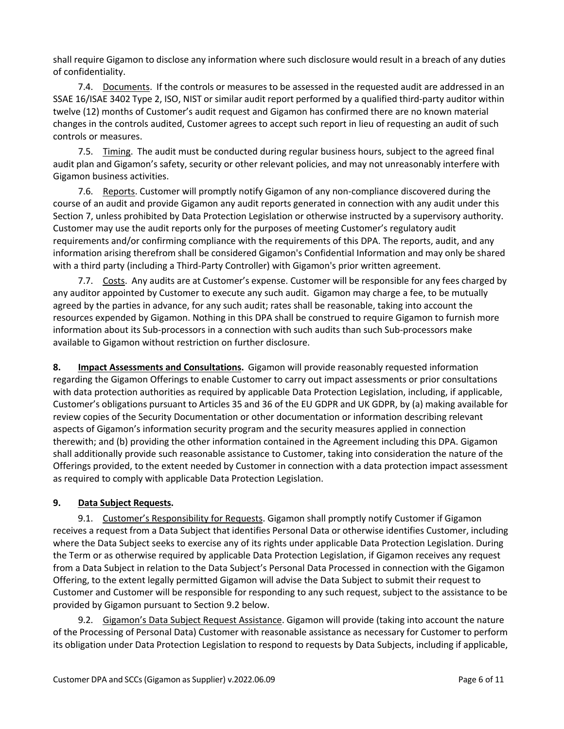shall require Gigamon to disclose any information where such disclosure would result in a breach of any duties of confidentiality.

7.4. Documents. If the controls or measures to be assessed in the requested audit are addressed in an SSAE 16/ISAE 3402 Type 2, ISO, NIST or similar audit report performed by a qualified third-party auditor within twelve (12) months of Customer's audit request and Gigamon has confirmed there are no known material changes in the controls audited, Customer agrees to accept such report in lieu of requesting an audit of such controls or measures.

7.5. Timing. The audit must be conducted during regular business hours, subject to the agreed final audit plan and Gigamon's safety, security or other relevant policies, and may not unreasonably interfere with Gigamon business activities.

7.6. Reports. Customer will promptly notify Gigamon of any non-compliance discovered during the course of an audit and provide Gigamon any audit reports generated in connection with any audit under this Section 7, unless prohibited by Data Protection Legislation or otherwise instructed by a supervisory authority. Customer may use the audit reports only for the purposes of meeting Customer's regulatory audit requirements and/or confirming compliance with the requirements of this DPA. The reports, audit, and any information arising therefrom shall be considered Gigamon's Confidential Information and may only be shared with a third party (including a Third-Party Controller) with Gigamon's prior written agreement.

7.7. Costs. Any audits are at Customer's expense. Customer will be responsible for any fees charged by any auditor appointed by Customer to execute any such audit. Gigamon may charge a fee, to be mutually agreed by the parties in advance, for any such audit; rates shall be reasonable, taking into account the resources expended by Gigamon. Nothing in this DPA shall be construed to require Gigamon to furnish more information about its Sub-processors in a connection with such audits than such Sub-processors make available to Gigamon without restriction on further disclosure.

**8. Impact Assessments and Consultations.** Gigamon will provide reasonably requested information regarding the Gigamon Offerings to enable Customer to carry out impact assessments or prior consultations with data protection authorities as required by applicable Data Protection Legislation, including, if applicable, Customer's obligations pursuant to Articles 35 and 36 of the EU GDPR and UK GDPR, by (a) making available for review copies of the Security Documentation or other documentation or information describing relevant aspects of Gigamon's information security program and the security measures applied in connection therewith; and (b) providing the other information contained in the Agreement including this DPA. Gigamon shall additionally provide such reasonable assistance to Customer, taking into consideration the nature of the Offerings provided, to the extent needed by Customer in connection with a data protection impact assessment as required to comply with applicable Data Protection Legislation.

## **9. Data Subject Requests.**

9.1. Customer's Responsibility for Requests. Gigamon shall promptly notify Customer if Gigamon receives a request from a Data Subject that identifies Personal Data or otherwise identifies Customer, including where the Data Subject seeks to exercise any of its rights under applicable Data Protection Legislation. During the Term or as otherwise required by applicable Data Protection Legislation, if Gigamon receives any request from a Data Subject in relation to the Data Subject's Personal Data Processed in connection with the Gigamon Offering, to the extent legally permitted Gigamon will advise the Data Subject to submit their request to Customer and Customer will be responsible for responding to any such request, subject to the assistance to be provided by Gigamon pursuant to Section 9.2 below.

9.2. Gigamon's Data Subject Request Assistance. Gigamon will provide (taking into account the nature of the Processing of Personal Data) Customer with reasonable assistance as necessary for Customer to perform its obligation under Data Protection Legislation to respond to requests by Data Subjects, including if applicable,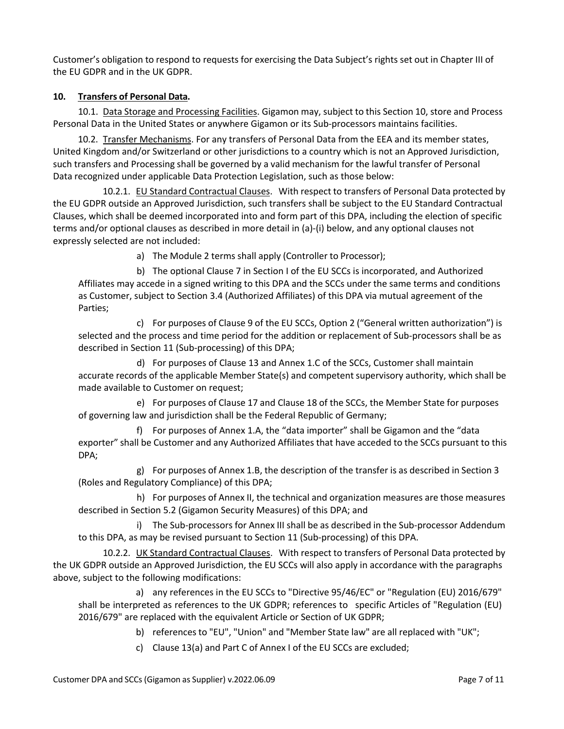Customer's obligation to respond to requests for exercising the Data Subject's rights set out in Chapter III of the EU GDPR and in the UK GDPR.

### **10. Transfers of Personal Data.**

10.1. Data Storage and Processing Facilities. Gigamon may, subject to this Section 10, store and Process Personal Data in the United States or anywhere Gigamon or its Sub-processors maintains facilities.

10.2. Transfer Mechanisms. For any transfers of Personal Data from the EEA and its member states, United Kingdom and/or Switzerland or other jurisdictions to a country which is not an Approved Jurisdiction, such transfers and Processing shall be governed by a valid mechanism for the lawful transfer of Personal Data recognized under applicable Data Protection Legislation, such as those below:

10.2.1. EU Standard Contractual Clauses. With respect to transfers of Personal Data protected by the EU GDPR outside an Approved Jurisdiction, such transfers shall be subject to the EU Standard Contractual Clauses, which shall be deemed incorporated into and form part of this DPA, including the election of specific terms and/or optional clauses as described in more detail in (a)-(i) below, and any optional clauses not expressly selected are not included:

a) The Module 2 terms shall apply (Controller to Processor);

b) The optional Clause 7 in Section I of the EU SCCs is incorporated, and Authorized Affiliates may accede in a signed writing to this DPA and the SCCs under the same terms and conditions as Customer, subject to Section 3.4 (Authorized Affiliates) of this DPA via mutual agreement of the Parties;

c) For purposes of Clause 9 of the EU SCCs, Option 2 ("General written authorization") is selected and the process and time period for the addition or replacement of Sub-processors shall be as described in Section 11 (Sub-processing) of this DPA;

d) For purposes of Clause 13 and Annex 1.C of the SCCs, Customer shall maintain accurate records of the applicable Member State(s) and competent supervisory authority, which shall be made available to Customer on request;

e) For purposes of Clause 17 and Clause 18 of the SCCs, the Member State for purposes of governing law and jurisdiction shall be the Federal Republic of Germany;

f) For purposes of Annex 1.A, the "data importer" shall be Gigamon and the "data exporter" shall be Customer and any Authorized Affiliates that have acceded to the SCCs pursuant to this DPA;

g) For purposes of Annex 1.B, the description of the transfer is as described in Section 3 (Roles and Regulatory Compliance) of this DPA;

h) For purposes of Annex II, the technical and organization measures are those measures described in Section 5.2 (Gigamon Security Measures) of this DPA; and

i) The Sub-processors for Annex III shall be as described in the Sub-processor Addendum to this DPA, as may be revised pursuant to Section 11 (Sub-processing) of this DPA.

10.2.2. UK Standard Contractual Clauses. With respect to transfers of Personal Data protected by the UK GDPR outside an Approved Jurisdiction, the EU SCCs will also apply in accordance with the paragraphs above, subject to the following modifications:

a) any references in the EU SCCs to "Directive 95/46/EC" or "Regulation (EU) 2016/679" shall be interpreted as references to the UK GDPR; references to specific Articles of "Regulation (EU) 2016/679" are replaced with the equivalent Article or Section of UK GDPR;

b) references to "EU", "Union" and "Member State law" are all replaced with "UK";

c) Clause 13(a) and Part C of Annex I of the EU SCCs are excluded;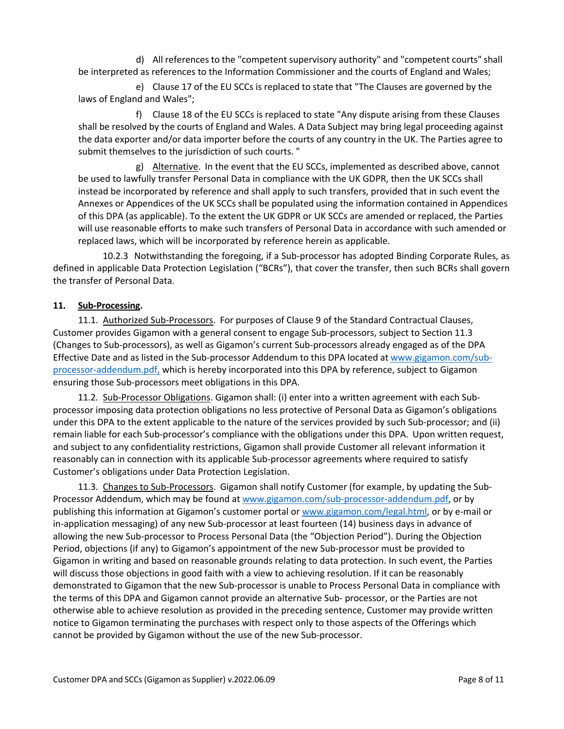d) All references to the "competent supervisory authority" and "competent courts" shall be interpreted as references to the Information Commissioner and the courts of England and Wales;

e) Clause 17 of the EU SCCs is replaced to state that "The Clauses are governed by the laws of England and Wales";

f) Clause 18 of the EU SCCs is replaced to state "Any dispute arising from these Clauses shall be resolved by the courts of England and Wales. A Data Subject may bring legal proceeding against the data exporter and/or data importer before the courts of any country in the UK. The Parties agree to submit themselves to the jurisdiction of such courts. "

g) Alternative. In the event that the EU SCCs, implemented as described above, cannot be used to lawfully transfer Personal Data in compliance with the UK GDPR, then the UK SCCs shall instead be incorporated by reference and shall apply to such transfers, provided that in such event the Annexes or Appendices of the UK SCCs shall be populated using the information contained in Appendices of this DPA (as applicable). To the extent the UK GDPR or UK SCCs are amended or replaced, the Parties will use reasonable efforts to make such transfers of Personal Data in accordance with such amended or replaced laws, which will be incorporated by reference herein as applicable.

10.2.3 Notwithstanding the foregoing, if a Sub-processor has adopted Binding Corporate Rules, as defined in applicable Data Protection Legislation ("BCRs"), that cover the transfer, then such BCRs shall govern the transfer of Personal Data.

#### **11. Sub-Processing.**

11.1. Authorized Sub-Processors. For purposes of Clause 9 of the Standard Contractual Clauses, Customer provides Gigamon with a general consent to engage Sub-processors, subject to Section 11.3 (Changes to Sub-processors), as well as Gigamon's current Sub-processors already engaged as of the DPA Effective Date and as listed in the Sub-processor Addendum to this DPA located at www.gigamon.com/subprocessor-addendum.pdf, which is hereby incorporated into this DPA by reference, subject to Gigamon ensuring those Sub-processors meet obligations in this DPA.

11.2. Sub-Processor Obligations. Gigamon shall: (i) enter into a written agreement with each Subprocessor imposing data protection obligations no less protective of Personal Data as Gigamon's obligations under this DPA to the extent applicable to the nature of the services provided by such Sub-processor; and (ii) remain liable for each Sub-processor's compliance with the obligations under this DPA. Upon written request, and subject to any confidentiality restrictions, Gigamon shall provide Customer all relevant information it reasonably can in connection with its applicable Sub-processor agreements where required to satisfy Customer's obligations under Data Protection Legislation.

11.3. Changes to Sub-Processors. Gigamon shall notify Customer (for example, by updating the Sub-Processor Addendum, which may be found at www.gigamon.com/sub-processor-addendum.pdf, or by publishing this information at Gigamon's customer portal or www.gigamon.com/legal.html, or by e-mail or in-application messaging) of any new Sub-processor at least fourteen (14) business days in advance of allowing the new Sub-processor to Process Personal Data (the "Objection Period"). During the Objection Period, objections (if any) to Gigamon's appointment of the new Sub-processor must be provided to Gigamon in writing and based on reasonable grounds relating to data protection. In such event, the Parties will discuss those objections in good faith with a view to achieving resolution. If it can be reasonably demonstrated to Gigamon that the new Sub-processor is unable to Process Personal Data in compliance with the terms of this DPA and Gigamon cannot provide an alternative Sub- processor, or the Parties are not otherwise able to achieve resolution as provided in the preceding sentence, Customer may provide written notice to Gigamon terminating the purchases with respect only to those aspects of the Offerings which cannot be provided by Gigamon without the use of the new Sub-processor.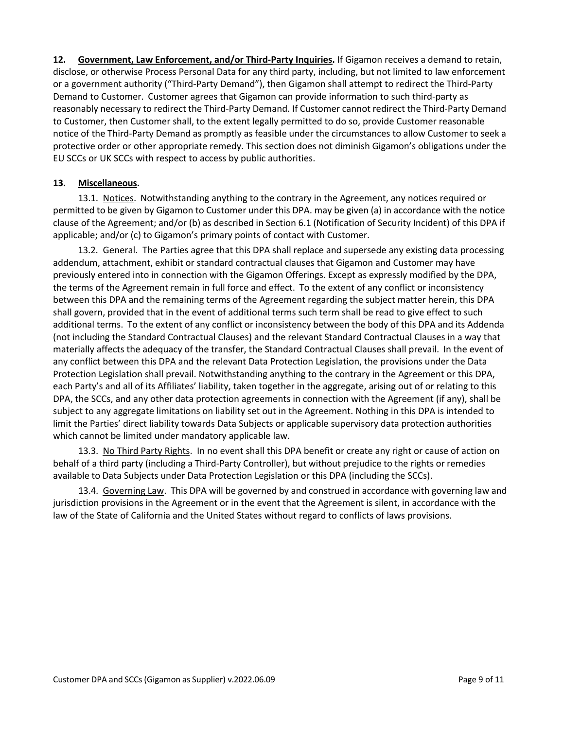**12. Government, Law Enforcement, and/or Third-Party Inquiries.** If Gigamon receives a demand to retain, disclose, or otherwise Process Personal Data for any third party, including, but not limited to law enforcement or a government authority ("Third-Party Demand"), then Gigamon shall attempt to redirect the Third-Party Demand to Customer. Customer agrees that Gigamon can provide information to such third-party as reasonably necessary to redirect the Third-Party Demand. If Customer cannot redirect the Third-Party Demand to Customer, then Customer shall, to the extent legally permitted to do so, provide Customer reasonable notice of the Third-Party Demand as promptly as feasible under the circumstances to allow Customer to seek a protective order or other appropriate remedy. This section does not diminish Gigamon's obligations under the EU SCCs or UK SCCs with respect to access by public authorities.

#### **13. Miscellaneous.**

13.1. Notices. Notwithstanding anything to the contrary in the Agreement, any notices required or permitted to be given by Gigamon to Customer under this DPA. may be given (a) in accordance with the notice clause of the Agreement; and/or (b) as described in Section 6.1 (Notification of Security Incident) of this DPA if applicable; and/or (c) to Gigamon's primary points of contact with Customer.

13.2. General. The Parties agree that this DPA shall replace and supersede any existing data processing addendum, attachment, exhibit or standard contractual clauses that Gigamon and Customer may have previously entered into in connection with the Gigamon Offerings. Except as expressly modified by the DPA, the terms of the Agreement remain in full force and effect. To the extent of any conflict or inconsistency between this DPA and the remaining terms of the Agreement regarding the subject matter herein, this DPA shall govern, provided that in the event of additional terms such term shall be read to give effect to such additional terms. To the extent of any conflict or inconsistency between the body of this DPA and its Addenda (not including the Standard Contractual Clauses) and the relevant Standard Contractual Clauses in a way that materially affects the adequacy of the transfer, the Standard Contractual Clauses shall prevail. In the event of any conflict between this DPA and the relevant Data Protection Legislation, the provisions under the Data Protection Legislation shall prevail. Notwithstanding anything to the contrary in the Agreement or this DPA, each Party's and all of its Affiliates' liability, taken together in the aggregate, arising out of or relating to this DPA, the SCCs, and any other data protection agreements in connection with the Agreement (if any), shall be subject to any aggregate limitations on liability set out in the Agreement. Nothing in this DPA is intended to limit the Parties' direct liability towards Data Subjects or applicable supervisory data protection authorities which cannot be limited under mandatory applicable law.

13.3. No Third Party Rights. In no event shall this DPA benefit or create any right or cause of action on behalf of a third party (including a Third-Party Controller), but without prejudice to the rights or remedies available to Data Subjects under Data Protection Legislation or this DPA (including the SCCs).

13.4. Governing Law. This DPA will be governed by and construed in accordance with governing law and jurisdiction provisions in the Agreement or in the event that the Agreement is silent, in accordance with the law of the State of California and the United States without regard to conflicts of laws provisions.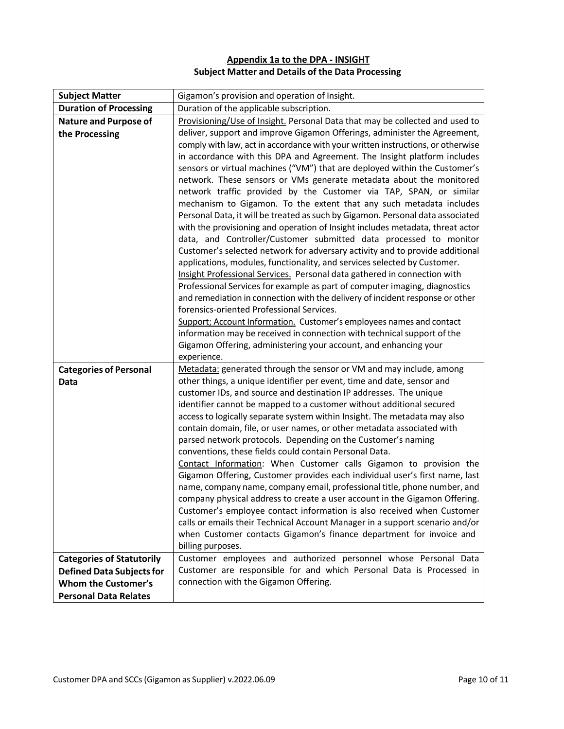# **Appendix 1a to the DPA - INSIGHT Subject Matter and Details of the Data Processing**

| <b>Subject Matter</b>                          | Gigamon's provision and operation of Insight.                                                                                                                                                                                                                                                                                                                                                                                                                                                                                                                                                                                                                                                                                                                                                                                                                                                                                                                                                                                                                                                                                                   |
|------------------------------------------------|-------------------------------------------------------------------------------------------------------------------------------------------------------------------------------------------------------------------------------------------------------------------------------------------------------------------------------------------------------------------------------------------------------------------------------------------------------------------------------------------------------------------------------------------------------------------------------------------------------------------------------------------------------------------------------------------------------------------------------------------------------------------------------------------------------------------------------------------------------------------------------------------------------------------------------------------------------------------------------------------------------------------------------------------------------------------------------------------------------------------------------------------------|
| <b>Duration of Processing</b>                  | Duration of the applicable subscription.                                                                                                                                                                                                                                                                                                                                                                                                                                                                                                                                                                                                                                                                                                                                                                                                                                                                                                                                                                                                                                                                                                        |
| <b>Nature and Purpose of</b><br>the Processing | Provisioning/Use of Insight. Personal Data that may be collected and used to<br>deliver, support and improve Gigamon Offerings, administer the Agreement,<br>comply with law, act in accordance with your written instructions, or otherwise<br>in accordance with this DPA and Agreement. The Insight platform includes<br>sensors or virtual machines ("VM") that are deployed within the Customer's<br>network. These sensors or VMs generate metadata about the monitored<br>network traffic provided by the Customer via TAP, SPAN, or similar<br>mechanism to Gigamon. To the extent that any such metadata includes<br>Personal Data, it will be treated as such by Gigamon. Personal data associated<br>with the provisioning and operation of Insight includes metadata, threat actor<br>data, and Controller/Customer submitted data processed to monitor<br>Customer's selected network for adversary activity and to provide additional<br>applications, modules, functionality, and services selected by Customer.<br>Insight Professional Services. Personal data gathered in connection with                                     |
|                                                | Professional Services for example as part of computer imaging, diagnostics<br>and remediation in connection with the delivery of incident response or other<br>forensics-oriented Professional Services.<br>Support; Account Information. Customer's employees names and contact<br>information may be received in connection with technical support of the<br>Gigamon Offering, administering your account, and enhancing your<br>experience.                                                                                                                                                                                                                                                                                                                                                                                                                                                                                                                                                                                                                                                                                                  |
| <b>Categories of Personal</b><br><b>Data</b>   | Metadata: generated through the sensor or VM and may include, among<br>other things, a unique identifier per event, time and date, sensor and<br>customer IDs, and source and destination IP addresses. The unique<br>identifier cannot be mapped to a customer without additional secured<br>access to logically separate system within Insight. The metadata may also<br>contain domain, file, or user names, or other metadata associated with<br>parsed network protocols. Depending on the Customer's naming<br>conventions, these fields could contain Personal Data.<br>Contact Information: When Customer calls Gigamon to provision the<br>Gigamon Offering, Customer provides each individual user's first name, last<br>name, company name, company email, professional title, phone number, and<br>company physical address to create a user account in the Gigamon Offering.<br>Customer's employee contact information is also received when Customer<br>calls or emails their Technical Account Manager in a support scenario and/or<br>when Customer contacts Gigamon's finance department for invoice and<br>billing purposes. |
| <b>Categories of Statutorily</b>               | Customer employees and authorized personnel whose Personal Data                                                                                                                                                                                                                                                                                                                                                                                                                                                                                                                                                                                                                                                                                                                                                                                                                                                                                                                                                                                                                                                                                 |
| <b>Defined Data Subjects for</b>               | Customer are responsible for and which Personal Data is Processed in                                                                                                                                                                                                                                                                                                                                                                                                                                                                                                                                                                                                                                                                                                                                                                                                                                                                                                                                                                                                                                                                            |
| <b>Whom the Customer's</b>                     | connection with the Gigamon Offering.                                                                                                                                                                                                                                                                                                                                                                                                                                                                                                                                                                                                                                                                                                                                                                                                                                                                                                                                                                                                                                                                                                           |
| <b>Personal Data Relates</b>                   |                                                                                                                                                                                                                                                                                                                                                                                                                                                                                                                                                                                                                                                                                                                                                                                                                                                                                                                                                                                                                                                                                                                                                 |